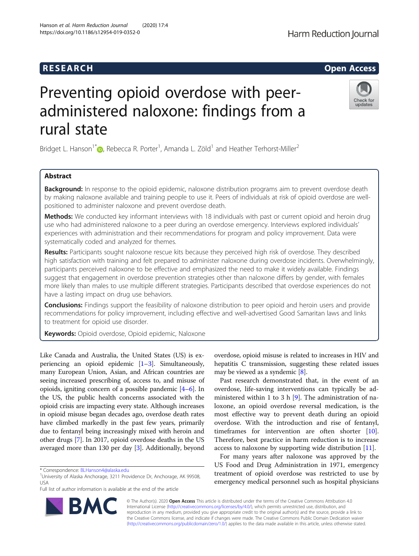## R E S EAR CH Open Access

# Preventing opioid overdose with peeradministered naloxone: findings from a rural state

Bridget L. Hanson<sup>1\*</sup> <sub>(</sub>)[,](http://orcid.org/0000-0002-8441-8601) Rebecca R. Porter<sup>1</sup>, Amanda L. Zöld<sup>1</sup> and Heather Terhorst-Miller<sup>2</sup>

### Abstract

Background: In response to the opioid epidemic, naloxone distribution programs aim to prevent overdose death by making naloxone available and training people to use it. Peers of individuals at risk of opioid overdose are wellpositioned to administer naloxone and prevent overdose death.

Methods: We conducted key informant interviews with 18 individuals with past or current opioid and heroin drug use who had administered naloxone to a peer during an overdose emergency. Interviews explored individuals' experiences with administration and their recommendations for program and policy improvement. Data were systematically coded and analyzed for themes.

Results: Participants sought naloxone rescue kits because they perceived high risk of overdose. They described high satisfaction with training and felt prepared to administer naloxone during overdose incidents. Overwhelmingly, participants perceived naloxone to be effective and emphasized the need to make it widely available. Findings suggest that engagement in overdose prevention strategies other than naloxone differs by gender, with females more likely than males to use multiple different strategies. Participants described that overdose experiences do not have a lasting impact on drug use behaviors.

**Conclusions:** Findings support the feasibility of naloxone distribution to peer opioid and heroin users and provide recommendations for policy improvement, including effective and well-advertised Good Samaritan laws and links to treatment for opioid use disorder.

Keywords: Opioid overdose, Opioid epidemic, Naloxone

Like Canada and Australia, the United States (US) is experiencing an opioid epidemic [\[1](#page-7-0)–[3](#page-7-0)]. Simultaneously, many European Union, Asian, and African countries are seeing increased prescribing of, access to, and misuse of opioids, igniting concern of a possible pandemic [\[4](#page-7-0)–[6\]](#page-7-0). In the US, the public health concerns associated with the opioid crisis are impacting every state. Although increases in opioid misuse began decades ago, overdose death rates have climbed markedly in the past few years, primarily due to fentanyl being increasingly mixed with heroin and other drugs [\[7\]](#page-7-0). In 2017, opioid overdose deaths in the US averaged more than 130 per day [\[3\]](#page-7-0). Additionally, beyond

\* Correspondence: [BLHanson4@alaska.edu](mailto:BLHanson4@alaska.edu) <sup>1</sup>

**BM** 

<sup>1</sup>University of Alaska Anchorage, 3211 Providence Dr, Anchorage, AK 99508, USA

Full list of author information is available at the end of the article

overdose, opioid misuse is related to increases in HIV and hepatitis C transmission, suggesting these related issues may be viewed as a syndemic [\[8\]](#page-7-0).

Past research demonstrated that, in the event of an overdose, life-saving interventions can typically be administered within 1 to 3 h [[9\]](#page-7-0). The administration of naloxone, an opioid overdose reversal medication, is the most effective way to prevent death during an opioid overdose. With the introduction and rise of fentanyl, timeframes for intervention are often shorter [\[10](#page-7-0)]. Therefore, best practice in harm reduction is to increase access to naloxone by supporting wide distribution [\[11](#page-7-0)].

For many years after naloxone was approved by the US Food and Drug Administration in 1971, emergency treatment of opioid overdose was restricted to use by emergency medical personnel such as hospital physicians

© The Author(s). 2020 **Open Access** This article is distributed under the terms of the Creative Commons Attribution 4.0 International License [\(http://creativecommons.org/licenses/by/4.0/](http://creativecommons.org/licenses/by/4.0/)), which permits unrestricted use, distribution, and reproduction in any medium, provided you give appropriate credit to the original author(s) and the source, provide a link to the Creative Commons license, and indicate if changes were made. The Creative Commons Public Domain Dedication waiver [\(http://creativecommons.org/publicdomain/zero/1.0/](http://creativecommons.org/publicdomain/zero/1.0/)) applies to the data made available in this article, unless otherwise stated.

https://doi.org/10.1186/s12954-019-0352-0

Hanson et al. Harm Reduction Journal (2020) 17:4



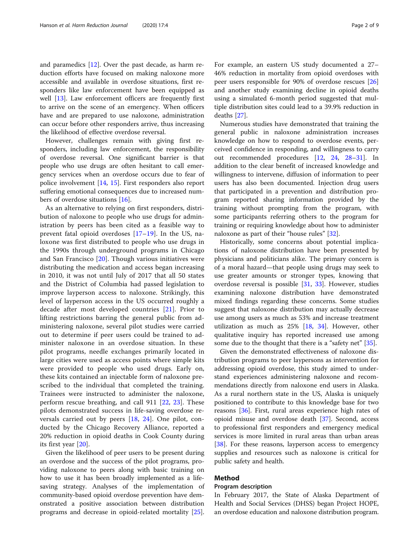and paramedics [\[12](#page-7-0)]. Over the past decade, as harm reduction efforts have focused on making naloxone more accessible and available in overdose situations, first responders like law enforcement have been equipped as well [[13\]](#page-7-0). Law enforcement officers are frequently first to arrive on the scene of an emergency. When officers have and are prepared to use naloxone, administration can occur before other responders arrive, thus increasing the likelihood of effective overdose reversal.

However, challenges remain with giving first responders, including law enforcement, the responsibility of overdose reversal. One significant barrier is that people who use drugs are often hesitant to call emergency services when an overdose occurs due to fear of police involvement [\[14](#page-7-0), [15\]](#page-7-0). First responders also report suffering emotional consequences due to increased numbers of overdose situations [\[16\]](#page-7-0).

As an alternative to relying on first responders, distribution of naloxone to people who use drugs for administration by peers has been cited as a feasible way to prevent fatal opioid overdoses [[17](#page-7-0)–[19\]](#page-7-0). In the US, naloxone was first distributed to people who use drugs in the 1990s through underground programs in Chicago and San Francisco [[20\]](#page-7-0). Though various initiatives were distributing the medication and access began increasing in 2010, it was not until July of 2017 that all 50 states and the District of Columbia had passed legislation to improve layperson access to naloxone. Strikingly, this level of layperson access in the US occurred roughly a decade after most developed countries [[21](#page-7-0)]. Prior to lifting restrictions barring the general public from administering naloxone, several pilot studies were carried out to determine if peer users could be trained to administer naloxone in an overdose situation. In these pilot programs, needle exchanges primarily located in large cities were used as access points where simple kits were provided to people who used drugs. Early on, these kits contained an injectable form of naloxone prescribed to the individual that completed the training. Trainees were instructed to administer the naloxone, perform rescue breathing, and call 911 [\[22](#page-8-0), [23](#page-8-0)]. These pilots demonstrated success in life-saving overdose reversals carried out by peers [[18,](#page-7-0) [24\]](#page-8-0). One pilot, conducted by the Chicago Recovery Alliance, reported a 20% reduction in opioid deaths in Cook County during its first year [\[20](#page-7-0)].

Given the likelihood of peer users to be present during an overdose and the success of the pilot programs, providing naloxone to peers along with basic training on how to use it has been broadly implemented as a lifesaving strategy. Analyses of the implementation of community-based opioid overdose prevention have demonstrated a positive association between distribution programs and decrease in opioid-related mortality [\[25](#page-8-0)].

For example, an eastern US study documented a 27– 46% reduction in mortality from opioid overdoses with peer users responsible for 90% of overdose rescues [[26](#page-8-0)] and another study examining decline in opioid deaths using a simulated 6-month period suggested that multiple distribution sites could lead to a 39.9% reduction in deaths [\[27\]](#page-8-0).

Numerous studies have demonstrated that training the general public in naloxone administration increases knowledge on how to respond to overdose events, perceived confidence in responding, and willingness to carry out recommended procedures [\[12](#page-7-0), [24](#page-8-0), [28](#page-8-0)–[31](#page-8-0)]. In addition to the clear benefit of increased knowledge and willingness to intervene, diffusion of information to peer users has also been documented. Injection drug users that participated in a prevention and distribution program reported sharing information provided by the training without prompting from the program, with some participants referring others to the program for training or requiring knowledge about how to administer naloxone as part of their "house rules" [\[32](#page-8-0)].

Historically, some concerns about potential implications of naloxone distribution have been presented by physicians and politicians alike. The primary concern is of a moral hazard—that people using drugs may seek to use greater amounts or stronger types, knowing that overdose reversal is possible [[31](#page-8-0), [33\]](#page-8-0). However, studies examining naloxone distribution have demonstrated mixed findings regarding these concerns. Some studies suggest that naloxone distribution may actually decrease use among users as much as 53% and increase treatment utilization as much as 25% [[18,](#page-7-0) [34](#page-8-0)]. However, other qualitative inquiry has reported increased use among some due to the thought that there is a "safety net" [[35\]](#page-8-0).

Given the demonstrated effectiveness of naloxone distribution programs to peer laypersons as intervention for addressing opioid overdose, this study aimed to understand experiences administering naloxone and recommendations directly from naloxone end users in Alaska. As a rural northern state in the US, Alaska is uniquely positioned to contribute to this knowledge base for two reasons [[36\]](#page-8-0). First, rural areas experience high rates of opioid misuse and overdose death [[37](#page-8-0)]. Second, access to professional first responders and emergency medical services is more limited in rural areas than urban areas [[38\]](#page-8-0). For these reasons, layperson access to emergency supplies and resources such as naloxone is critical for public safety and health.

#### Method

#### Program description

In February 2017, the State of Alaska Department of Health and Social Services (DHSS) began Project HOPE, an overdose education and naloxone distribution program.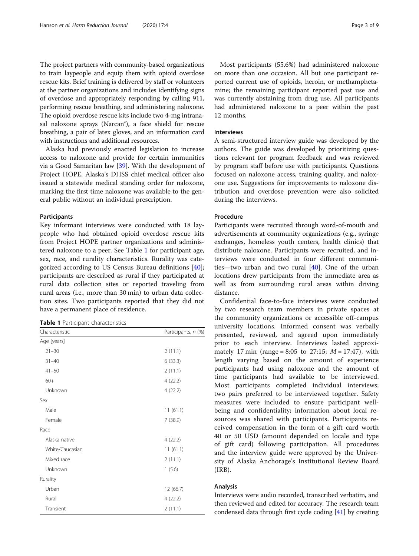The project partners with community-based organizations to train laypeople and equip them with opioid overdose rescue kits. Brief training is delivered by staff or volunteers at the partner organizations and includes identifying signs of overdose and appropriately responding by calling 911, performing rescue breathing, and administering naloxone. The opioid overdose rescue kits include two 4-mg intranasal naloxone sprays (Narcan®), a face shield for rescue breathing, a pair of latex gloves, and an information card with instructions and additional resources.

Alaska had previously enacted legislation to increase access to naloxone and provide for certain immunities via a Good Samaritan law [[39\]](#page-8-0). With the development of Project HOPE, Alaska's DHSS chief medical officer also issued a statewide medical standing order for naloxone, marking the first time naloxone was available to the general public without an individual prescription.

#### Participants

Key informant interviews were conducted with 18 laypeople who had obtained opioid overdose rescue kits from Project HOPE partner organizations and administered naloxone to a peer. See Table 1 for participant age, sex, race, and rurality characteristics. Rurality was categorized according to US Census Bureau definitions [\[40](#page-8-0)]; participants are described as rural if they participated at rural data collection sites or reported traveling from rural areas (i.e., more than 30 min) to urban data collection sites. Two participants reported that they did not have a permanent place of residence.

|  |  |  | <b>Table 1</b> Participant characteristics |
|--|--|--|--------------------------------------------|
|--|--|--|--------------------------------------------|

| Characteristic  | Participants, n (%) |  |
|-----------------|---------------------|--|
| Age [years]     |                     |  |
| $21 - 30$       | 2(11.1)             |  |
| $31 - 40$       | 6(33.3)             |  |
| $41 - 50$       | 2(11.1)             |  |
| $60+$           | 4(22.2)             |  |
| Unknown         | 4(22.2)             |  |
| Sex             |                     |  |
| Male            | 11(61.1)            |  |
| Female          | 7(38.9)             |  |
| Race            |                     |  |
| Alaska native   | 4(22.2)             |  |
| White/Caucasian | 11(61.1)            |  |
| Mixed race      | 2(11.1)             |  |
| Unknown         | 1(5.6)              |  |
| Rurality        |                     |  |
| Urban           | 12 (66.7)           |  |
| Rural           | 4(22.2)             |  |
| Transient       | 2(11.1)             |  |

Most participants (55.6%) had administered naloxone on more than one occasion. All but one participant reported current use of opioids, heroin, or methamphetamine; the remaining participant reported past use and was currently abstaining from drug use. All participants had administered naloxone to a peer within the past 12 months.

#### Interviews

A semi-structured interview guide was developed by the authors. The guide was developed by prioritizing questions relevant for program feedback and was reviewed by program staff before use with participants. Questions focused on naloxone access, training quality, and naloxone use. Suggestions for improvements to naloxone distribution and overdose prevention were also solicited during the interviews.

#### Procedure

Participants were recruited through word-of-mouth and advertisements at community organizations (e.g., syringe exchanges, homeless youth centers, health clinics) that distribute naloxone. Participants were recruited, and interviews were conducted in four different communities—two urban and two rural [[40\]](#page-8-0). One of the urban locations drew participants from the immediate area as well as from surrounding rural areas within driving distance.

Confidential face-to-face interviews were conducted by two research team members in private spaces at the community organizations or accessible off-campus university locations. Informed consent was verbally presented, reviewed, and agreed upon immediately prior to each interview. Interviews lasted approximately 17 min (range = 8:05 to 27:15;  $M = 17:47$ ), with length varying based on the amount of experience participants had using naloxone and the amount of time participants had available to be interviewed. Most participants completed individual interviews; two pairs preferred to be interviewed together. Safety measures were included to ensure participant wellbeing and confidentiality; information about local resources was shared with participants. Participants received compensation in the form of a gift card worth 40 or 50 USD (amount depended on locale and type of gift card) following participation. All procedures and the interview guide were approved by the University of Alaska Anchorage's Institutional Review Board (IRB).

#### Analysis

Interviews were audio recorded, transcribed verbatim, and then reviewed and edited for accuracy. The research team condensed data through first cycle coding [[41](#page-8-0)] by creating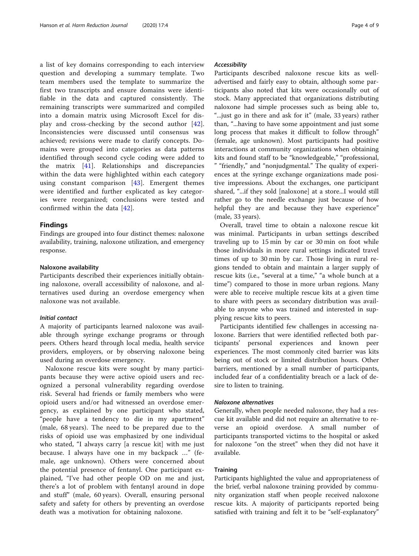a list of key domains corresponding to each interview question and developing a summary template. Two team members used the template to summarize the first two transcripts and ensure domains were identifiable in the data and captured consistently. The remaining transcripts were summarized and compiled into a domain matrix using Microsoft Excel for display and cross-checking by the second author [\[42](#page-8-0)]. Inconsistencies were discussed until consensus was achieved; revisions were made to clarify concepts. Domains were grouped into categories as data patterns identified through second cycle coding were added to the matrix [[41\]](#page-8-0). Relationships and discrepancies within the data were highlighted within each category using constant comparison [[43\]](#page-8-0). Emergent themes were identified and further explicated as key categories were reorganized; conclusions were tested and confirmed within the data [\[42](#page-8-0)].

#### Findings

Findings are grouped into four distinct themes: naloxone availability, training, naloxone utilization, and emergency response.

#### Naloxone availability

Participants described their experiences initially obtaining naloxone, overall accessibility of naloxone, and alternatives used during an overdose emergency when naloxone was not available.

#### Initial contact

A majority of participants learned naloxone was available through syringe exchange programs or through peers. Others heard through local media, health service providers, employers, or by observing naloxone being used during an overdose emergency.

Naloxone rescue kits were sought by many participants because they were active opioid users and recognized a personal vulnerability regarding overdose risk. Several had friends or family members who were opioid users and/or had witnessed an overdose emergency, as explained by one participant who stated, "people have a tendency to die in my apartment" (male, 68 years). The need to be prepared due to the risks of opioid use was emphasized by one individual who stated, "I always carry [a rescue kit] with me just because. I always have one in my backpack …" (female, age unknown). Others were concerned about the potential presence of fentanyl. One participant explained, "I've had other people OD on me and just, there's a lot of problem with fentanyl around in dope and stuff" (male, 60 years). Overall, ensuring personal safety and safety for others by preventing an overdose death was a motivation for obtaining naloxone.

#### Accessibility

Participants described naloxone rescue kits as welladvertised and fairly easy to obtain, although some participants also noted that kits were occasionally out of stock. Many appreciated that organizations distributing naloxone had simple processes such as being able to, "...just go in there and ask for it" (male, 33 years) rather than, "...having to have some appointment and just some long process that makes it difficult to follow through" (female, age unknown). Most participants had positive interactions at community organizations when obtaining kits and found staff to be "knowledgeable," "professional, " "friendly," and "nonjudgmental." The quality of experiences at the syringe exchange organizations made positive impressions. About the exchanges, one participant shared, "...if they sold [naloxone] at a store...I would still rather go to the needle exchange just because of how helpful they are and because they have experience" (male, 33 years).

Overall, travel time to obtain a naloxone rescue kit was minimal. Participants in urban settings described traveling up to 15 min by car or 30 min on foot while those individuals in more rural settings indicated travel times of up to 30 min by car. Those living in rural regions tended to obtain and maintain a larger supply of rescue kits (i.e., "several at a time," "a whole bunch at a time") compared to those in more urban regions. Many were able to receive multiple rescue kits at a given time to share with peers as secondary distribution was available to anyone who was trained and interested in supplying rescue kits to peers.

Participants identified few challenges in accessing naloxone. Barriers that were identified reflected both participants' personal experiences and known peer experiences. The most commonly cited barrier was kits being out of stock or limited distribution hours. Other barriers, mentioned by a small number of participants, included fear of a confidentiality breach or a lack of desire to listen to training.

#### Naloxone alternatives

Generally, when people needed naloxone, they had a rescue kit available and did not require an alternative to reverse an opioid overdose. A small number of participants transported victims to the hospital or asked for naloxone "on the street" when they did not have it available.

#### **Training**

Participants highlighted the value and appropriateness of the brief, verbal naloxone training provided by community organization staff when people received naloxone rescue kits. A majority of participants reported being satisfied with training and felt it to be "self-explanatory"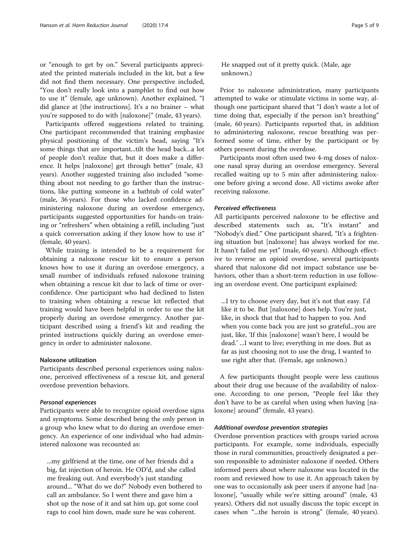or "enough to get by on." Several participants appreciated the printed materials included in the kit, but a few did not find them necessary. One perspective included, "You don't really look into a pamphlet to find out how to use it" (female, age unknown). Another explained, "I did glance at [the instructions]. It's a no brainer – what you're supposed to do with [naloxone]" (male, 43 years).

Participants offered suggestions related to training. One participant recommended that training emphasize physical positioning of the victim's head, saying "It's some things that are important...tilt the head back...a lot of people don't realize that, but it does make a difference. It helps [naloxone] get through better" (male, 43 years). Another suggested training also included "something about not needing to go farther than the instructions, like putting someone in a bathtub of cold water" (male, 36 years). For those who lacked confidence administering naloxone during an overdose emergency, participants suggested opportunities for hands-on training or "refreshers" when obtaining a refill, including "just a quick conversation asking if they know how to use it" (female, 40 years).

While training is intended to be a requirement for obtaining a naloxone rescue kit to ensure a person knows how to use it during an overdose emergency, a small number of individuals refused naloxone training when obtaining a rescue kit due to lack of time or overconfidence. One participant who had declined to listen to training when obtaining a rescue kit reflected that training would have been helpful in order to use the kit properly during an overdose emergency. Another participant described using a friend's kit and reading the printed instructions quickly during an overdose emergency in order to administer naloxone.

#### Naloxone utilization

Participants described personal experiences using naloxone, perceived effectiveness of a rescue kit, and general overdose prevention behaviors.

#### Personal experiences

Participants were able to recognize opioid overdose signs and symptoms. Some described being the only person in a group who knew what to do during an overdose emergency. An experience of one individual who had administered naloxone was recounted as:

...my girlfriend at the time, one of her friends did a big, fat injection of heroin. He OD'd, and she called me freaking out. And everybody's just standing around... "What do we do?" Nobody even bothered to call an ambulance. So I went there and gave him a shot up the nose of it and sat him up, got some cool rags to cool him down, made sure he was coherent.

He snapped out of it pretty quick. (Male, age unknown.)

Prior to naloxone administration, many participants attempted to wake or stimulate victims in some way, although one participant shared that "I don't waste a lot of time doing that, especially if the person isn't breathing" (male, 60 years). Participants reported that, in addition to administering naloxone, rescue breathing was performed some of time, either by the participant or by others present during the overdose.

Participants most often used two 4-mg doses of naloxone nasal spray during an overdose emergency. Several recalled waiting up to 5 min after administering naloxone before giving a second dose. All victims awoke after receiving naloxone.

#### Perceived effectiveness

All participants perceived naloxone to be effective and described statements such as, "It's instant" and "Nobody's died." One participant shared, "It's a frightening situation but [naloxone] has always worked for me. It hasn't failed me yet" (male, 60 years). Although effective to reverse an opioid overdose, several participants shared that naloxone did not impact substance use behaviors, other than a short-term reduction in use following an overdose event. One participant explained:

...I try to choose every day, but it's not that easy. I'd like it to be. But [naloxone] does help. You're just, like, in shock that that had to happen to you. And when you come back you are just so grateful...you are just, like, 'If this [naloxone] wasn't here, I would be dead.' ...I want to live; everything in me does. But as far as just choosing not to use the drug, I wanted to use right after that. (Female, age unknown.)

A few participants thought people were less cautious about their drug use because of the availability of naloxone. According to one person, "People feel like they don't have to be as careful when using when having [naloxone] around" (female, 43 years).

#### Additional overdose prevention strategies

Overdose prevention practices with groups varied across participants. For example, some individuals, especially those in rural communities, proactively designated a person responsible to administer naloxone if needed. Others informed peers about where naloxone was located in the room and reviewed how to use it. An approach taken by one was to occasionally ask peer users if anyone had [naloxone], "usually while we're sitting around" (male, 43 years). Others did not usually discuss the topic except in cases when "...the heroin is strong" (female, 40 years).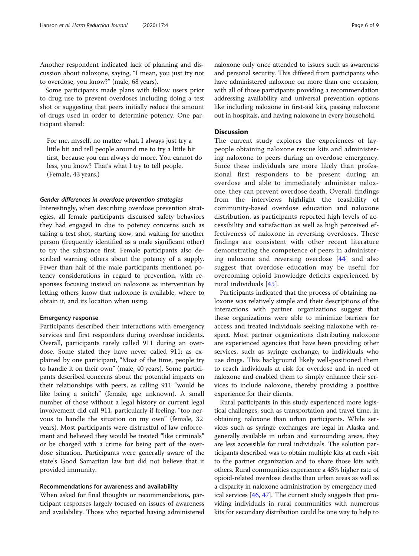Another respondent indicated lack of planning and discussion about naloxone, saying, "I mean, you just try not to overdose, you know?" (male, 68 years).

Some participants made plans with fellow users prior to drug use to prevent overdoses including doing a test shot or suggesting that peers initially reduce the amount of drugs used in order to determine potency. One participant shared:

For me, myself, no matter what, I always just try a little bit and tell people around me to try a little bit first, because you can always do more. You cannot do less, you know? That's what I try to tell people. (Female, 43 years.)

#### Gender differences in overdose prevention strategies

Interestingly, when describing overdose prevention strategies, all female participants discussed safety behaviors they had engaged in due to potency concerns such as taking a test shot, starting slow, and waiting for another person (frequently identified as a male significant other) to try the substance first. Female participants also described warning others about the potency of a supply. Fewer than half of the male participants mentioned potency considerations in regard to prevention, with responses focusing instead on naloxone as intervention by letting others know that naloxone is available, where to obtain it, and its location when using.

#### Emergency response

Participants described their interactions with emergency services and first responders during overdose incidents. Overall, participants rarely called 911 during an overdose. Some stated they have never called 911; as explained by one participant, "Most of the time, people try to handle it on their own" (male, 40 years). Some participants described concerns about the potential impacts on their relationships with peers, as calling 911 "would be like being a snitch" (female, age unknown). A small number of those without a legal history or current legal involvement did call 911, particularly if feeling, "too nervous to handle the situation on my own" (female, 32 years). Most participants were distrustful of law enforcement and believed they would be treated "like criminals" or be charged with a crime for being part of the overdose situation. Participants were generally aware of the state's Good Samaritan law but did not believe that it provided immunity.

#### Recommendations for awareness and availability

When asked for final thoughts or recommendations, participant responses largely focused on issues of awareness and availability. Those who reported having administered

naloxone only once attended to issues such as awareness and personal security. This differed from participants who have administered naloxone on more than one occasion, with all of those participants providing a recommendation addressing availability and universal prevention options like including naloxone in first-aid kits, passing naloxone out in hospitals, and having naloxone in every household.

#### Discussion

The current study explores the experiences of laypeople obtaining naloxone rescue kits and administering naloxone to peers during an overdose emergency. Since these individuals are more likely than professional first responders to be present during an overdose and able to immediately administer naloxone, they can prevent overdose death. Overall, findings from the interviews highlight the feasibility of community-based overdose education and naloxone distribution, as participants reported high levels of accessibility and satisfaction as well as high perceived effectiveness of naloxone in reversing overdoses. These findings are consistent with other recent literature demonstrating the competence of peers in administering naloxone and reversing overdose [\[44\]](#page-8-0) and also suggest that overdose education may be useful for overcoming opioid knowledge deficits experienced by rural individuals [[45\]](#page-8-0).

Participants indicated that the process of obtaining naloxone was relatively simple and their descriptions of the interactions with partner organizations suggest that these organizations were able to minimize barriers for access and treated individuals seeking naloxone with respect. Most partner organizations distributing naloxone are experienced agencies that have been providing other services, such as syringe exchange, to individuals who use drugs. This background likely well-positioned them to reach individuals at risk for overdose and in need of naloxone and enabled them to simply enhance their services to include naloxone, thereby providing a positive experience for their clients.

Rural participants in this study experienced more logistical challenges, such as transportation and travel time, in obtaining naloxone than urban participants. While services such as syringe exchanges are legal in Alaska and generally available in urban and surrounding areas, they are less accessible for rural individuals. The solution participants described was to obtain multiple kits at each visit to the partner organization and to share those kits with others. Rural communities experience a 45% higher rate of opioid-related overdose deaths than urban areas as well as a disparity in naloxone administration by emergency medical services [\[46,](#page-8-0) [47\]](#page-8-0). The current study suggests that providing individuals in rural communities with numerous kits for secondary distribution could be one way to help to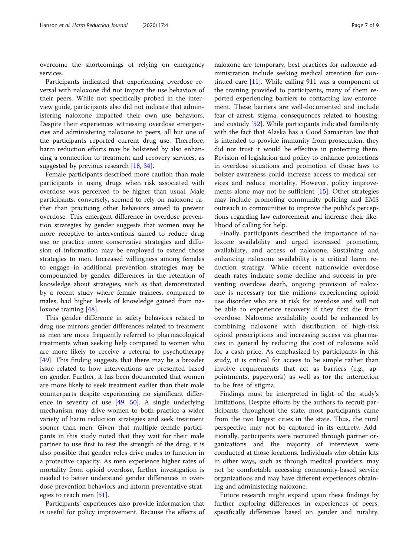overcome the shortcomings of relying on emergency services.

Participants indicated that experiencing overdose reversal with naloxone did not impact the use behaviors of their peers. While not specifically probed in the interview guide, participants also did not indicate that administering naloxone impacted their own use behaviors. Despite their experiences witnessing overdose emergencies and administering naloxone to peers, all but one of the participants reported current drug use. Therefore, harm reduction efforts may be bolstered by also enhancing a connection to treatment and recovery services, as suggested by previous research [\[18](#page-7-0), [34\]](#page-8-0).

Female participants described more caution than male participants in using drugs when risk associated with overdose was perceived to be higher than usual. Male participants, conversely, seemed to rely on naloxone rather than practicing other behaviors aimed to prevent overdose. This emergent difference in overdose prevention strategies by gender suggests that women may be more receptive to interventions aimed to reduce drug use or practice more conservative strategies and diffusion of information may be employed to extend those strategies to men. Increased willingness among females to engage in additional prevention strategies may be compounded by gender differences in the retention of knowledge about strategies, such as that demonstrated by a recent study where female trainees, compared to males, had higher levels of knowledge gained from naloxone training [\[48\]](#page-8-0).

This gender difference in safety behaviors related to drug use mirrors gender differences related to treatment as men are more frequently referred to pharmacological treatments when seeking help compared to women who are more likely to receive a referral to psychotherapy [[49\]](#page-8-0). This finding suggests that there may be a broader issue related to how interventions are presented based on gender. Further, it has been documented that women are more likely to seek treatment earlier than their male counterparts despite experiencing no significant difference in severity of use [[49,](#page-8-0) [50](#page-8-0)]. A single underlying mechanism may drive women to both practice a wider variety of harm reduction strategies and seek treatment sooner than men. Given that multiple female participants in this study noted that they wait for their male partner to use first to test the strength of the drug, it is also possible that gender roles drive males to function in a protective capacity. As men experience higher rates of mortality from opioid overdose, further investigation is needed to better understand gender differences in overdose prevention behaviors and inform preventative strat-egies to reach men [[51\]](#page-8-0).

Participants' experiences also provide information that is useful for policy improvement. Because the effects of

naloxone are temporary, best practices for naloxone administration include seeking medical attention for continued care [\[11\]](#page-7-0). While calling 911 was a component of the training provided to participants, many of them reported experiencing barriers to contacting law enforcement. These barriers are well-documented and include fear of arrest, stigma, consequences related to housing, and custody [\[52](#page-8-0)]. While participants indicated familiarity with the fact that Alaska has a Good Samaritan law that is intended to provide immunity from prosecution, they did not trust it would be effective in protecting them. Revision of legislation and policy to enhance protections in overdose situations and promotion of those laws to bolster awareness could increase access to medical services and reduce mortality. However, policy improvements alone may not be sufficient [[15\]](#page-7-0). Other strategies may include promoting community policing and EMS outreach in communities to improve the public's perceptions regarding law enforcement and increase their likelihood of calling for help.

Finally, participants described the importance of naloxone availability and urged increased promotion, availability, and access of naloxone. Sustaining and enhancing naloxone availability is a critical harm reduction strategy. While recent nationwide overdose death rates indicate some decline and success in preventing overdose death, ongoing provision of naloxone is necessary for the millions experiencing opioid use disorder who are at risk for overdose and will not be able to experience recovery if they first die from overdose. Naloxone availability could be enhanced by combining naloxone with distribution of high-risk opioid prescriptions and increasing access via pharmacies in general by reducing the cost of naloxone sold for a cash price. As emphasized by participants in this study, it is critical for access to be simple rather than involve requirements that act as barriers (e.g., appointments, paperwork) as well as for the interaction to be free of stigma.

Findings must be interpreted in light of the study's limitations. Despite efforts by the authors to recruit participants throughout the state, most participants came from the two largest cities in the state. Thus, the rural perspective may not be captured in its entirety. Additionally, participants were recruited through partner organizations and the majority of interviews were conducted at those locations. Individuals who obtain kits in other ways, such as through medical providers, may not be comfortable accessing community-based service organizations and may have different experiences obtaining and administering naloxone.

Future research might expand upon these findings by further exploring differences in experiences of peers, specifically differences based on gender and rurality.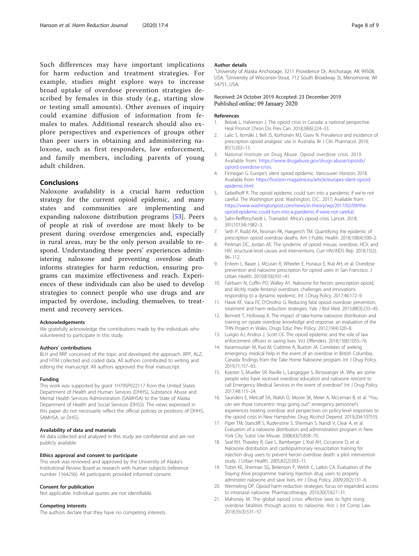<span id="page-7-0"></span>Such differences may have important implications for harm reduction and treatment strategies. For example, studies might explore ways to increase broad uptake of overdose prevention strategies described by females in this study (e.g., starting slow or testing small amounts). Other avenues of inquiry could examine diffusion of information from females to males. Additional research should also explore perspectives and experiences of groups other than peer users in obtaining and administering naloxone, such as first responders, law enforcement, and family members, including parents of young adult children.

#### Conclusions

Naloxone availability is a crucial harm reduction strategy for the current opioid epidemic, and many states and communities are implementing and expanding naloxone distribution programs [\[53](#page-8-0)]. Peers of people at risk of overdose are most likely to be present during overdose emergencies and, especially in rural areas, may be the only person available to respond. Understanding these peers' experiences administering naloxone and preventing overdose death informs strategies for harm reduction, ensuring programs can maximize effectiveness and reach. Experiences of these individuals can also be used to develop strategies to connect people who use drugs and are impacted by overdose, including themselves, to treatment and recovery services.

#### Acknowledgements

We gratefully acknowledge the contributions made by the individuals who volunteered to participate in this study.

#### Authors' contributions

BLH and RRP conceived of the topic and developed the approach. RPP, ALZ, and HTM collected and coded data. All authors contributed to writing and editing the manuscript. All authors approved the final manuscript.

#### Funding

This work was supported by grant 1H79SP022117 from the United States Department of Health and Human Services (DHHS), Substance Abuse and Mental Health Services Administration (SAMHSA) to the State of Alaska Department of Health and Social Services (DHSS). The views expressed in this paper do not necessarily reflect the official policies or positions of DHHS, SAMHSA, or DHSS.

#### Availability of data and materials

All data collected and analyzed in this study are confidential and are not publicly available.

#### Ethics approval and consent to participate

This work was reviewed and approved by the University of Alaska's Institutional Review Board as research with human subjects (reference number 1164256). All participants provided informed consent.

#### Consent for publication

Not applicable. Individual quotes are not identifiable.

#### Competing interests

The authors declare that they have no competing interests.

#### Author details

<sup>1</sup>University of Alaska Anchorage, 3211 Providence Dr, Anchorage, AK 99508 USA. <sup>2</sup>University of Wisconsin-Stout, 712 South Broadway St, Menomonie, WI 54751, USA.

#### Received: 24 October 2019 Accepted: 23 December 2019 Published online: 09 January 2020

#### References

- 1. Belzak L, Halverson J. The opioid crisis in Canada: a national perspective. Heal Promot Chron Dis Prev Can. 2018;38(6):224–33.
- 2. Lalic S, Ilomäki J, Bell JS, Korhonen MJ, Gisev N. Prevalence and incidence of prescription opioid analgesic use in Australia. Br J Clin Pharmacol. 2019; 85(1):202–15.
- 3. National Institute on Drug Abuse. Opioid overdose crisis. 2019. Available from: [https://www.drugabuse.gov/drugs-abuse/opioids/](https://www.drugabuse.gov/drugs-abuse/opioids/opioid-overdose-crisis) [opioid-overdose-crisis.](https://www.drugabuse.gov/drugs-abuse/opioids/opioid-overdose-crisis)
- 4. Finnegan G. Europe's silent opioid epidemic. Vancouver: Horizon; 2018. Available from: [https://horizon-magazine.eu/article/europes-silent-opioid](https://horizon-magazine.eu/article/europes-silent-opioid-epidemic.html)[epidemic.html](https://horizon-magazine.eu/article/europes-silent-opioid-epidemic.html)
- 5. Gebelhoff R. The opioid epidemic could turn into a pandemic if we're not careful. The Washington post: Washington, D.C.. 2017; Available from: [https://www.washingtonpost.com/news/in-theory/wp/2017/02/09/the](https://www.washingtonpost.com/news/in-theory/wp/2017/02/09/the-opioid-epidemic-could-turn-into-a-pandemic-if-were-not-careful/)[opioid-epidemic-could-turn-into-a-pandemic-if-were-not-careful/](https://www.washingtonpost.com/news/in-theory/wp/2017/02/09/the-opioid-epidemic-could-turn-into-a-pandemic-if-were-not-careful/).
- 6. Salm-Reifferscheidt L. Tramadol: Africa's opioid crisis. Lancet. 2018; 391(10134):1982–3.
- 7. Seth P, Rudd RA, Noonan RK, Haegerich TM. Quantifying the epidemic of prescription opioid overdose deaths. Am J Public Health. 2018;108(4):500–2.
- 8. Perlman DC, Jordan AE. The syndemic of opioid misuse, overdose, HCV, and HIV: structural-level causes and interventions. Curr HIV/AIDS Rep. 2018;15(2): 96–112.
- 9. Enteen L, Bauer J, McLean R, Wheeler E, Huriaux E, Kral AH, et al. Overdose prevention and naloxone prescription for opioid users in San Francisco. J Urban Health. 2010;87(6):931–41.
- 10. Fairbairn N, Coffin PO, Walley AY. Naloxone for heroin, prescription opioid, and illicitly made fentanyl overdoses: challenges and innovations responding to a dynamic epidemic. Int J Drug Policy. 2017;46:172–9.
- 11. Hawk KF, Vaca FE, D'Onofrio G. Reducing fatal opioid overdose: prevention, treatment and harm reduction strategies. Yale J Biol Med. 2015;88(3):235–45.
- 12. Bennett T, Holloway K. The impact of take-home naloxone distribution and training on opiate overdose knowledge and response: an evaluation of the THN Project in Wales. Drugs Educ Prev Policy. 2012;19(4):320–8.
- 13. Lurigio AJ, Andrus J, Scott CK. The opioid epidemic and the role of law enforcement officers in saving lives. Vict Offenders. 2018;13(8):1055–76.
- 14. Karamouzian M, Kuo M, Crabtree A, Buxton JA. Correlates of seeking emergency medical help in the event of an overdose in British Columbia, Canada: findings from the Take Home Naloxone program. Int J Drug Policy. 2019;71:157–63.
- 15. Koester S, Mueller SR, Raville L, Langegger S, Binswanger IA. Why are some people who have received overdose education and naloxone reticent to call Emergency Medical Services in the event of overdose? Int J Drug Policy. 2017;48:115–24.
- 16. Saunders E, Metcalf SA, Walsh O, Moore SK, Meier A, McLeman B, et al. "You can see those concentric rings going out": emergency personnel's experiences treating overdose and perspectives on policy-level responses to the opioid crisis in New Hampshire. Drug Alcohol Depend. 2019;204:107555.
- 17. Piper TM, Stancliff S, Rudenstine S, Sherman S, Nandi V, Clear A, et al. Evaluation of a naloxone distribution and administration program in New York City. Subst Use Misuse. 2008;43(7):858–70.
- 18. Seal KH, Thawley R, Gee L, Bamberger J, Kral AH, Ciccarone D, et al. Naloxone distribution and cardiopulmonary resuscitation training for injection drug users to prevent heroin overdose death: a pilot intervention study. J Urban Health. 2005;82(2):303–11.
- 19. Tobin KE, Sherman SG, Beilenson P, Welsh C, Latkin CA. Evaluation of the Staying Alive programme: training injection drug users to properly administer naloxone and save lives. Int J Drug Policy. 2009;20(2):131–6.
- 20. Wermeling DP. Opioid harm reduction strategies: focus on expanded access to intranasal naloxone. Pharmacotherapy. 2010;30(7):627–31.
- 21. Mahoney M. The global opioid crisis: effective laws to fight rising overdose fatalities through access to naloxone. Ariz J Int Comp Law. 2018;35(3):531–57.